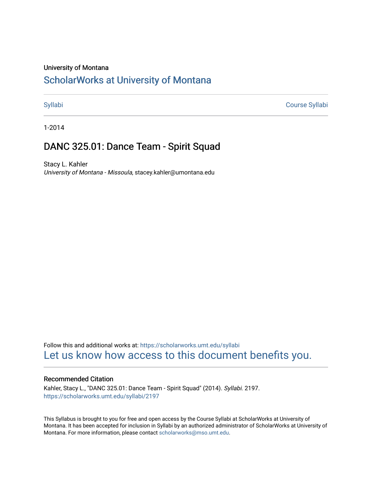### University of Montana

# [ScholarWorks at University of Montana](https://scholarworks.umt.edu/)

[Syllabi](https://scholarworks.umt.edu/syllabi) [Course Syllabi](https://scholarworks.umt.edu/course_syllabi) 

1-2014

# DANC 325.01: Dance Team - Spirit Squad

Stacy L. Kahler University of Montana - Missoula, stacey.kahler@umontana.edu

Follow this and additional works at: [https://scholarworks.umt.edu/syllabi](https://scholarworks.umt.edu/syllabi?utm_source=scholarworks.umt.edu%2Fsyllabi%2F2197&utm_medium=PDF&utm_campaign=PDFCoverPages)  [Let us know how access to this document benefits you.](https://goo.gl/forms/s2rGfXOLzz71qgsB2) 

### Recommended Citation

Kahler, Stacy L., "DANC 325.01: Dance Team - Spirit Squad" (2014). Syllabi. 2197. [https://scholarworks.umt.edu/syllabi/2197](https://scholarworks.umt.edu/syllabi/2197?utm_source=scholarworks.umt.edu%2Fsyllabi%2F2197&utm_medium=PDF&utm_campaign=PDFCoverPages)

This Syllabus is brought to you for free and open access by the Course Syllabi at ScholarWorks at University of Montana. It has been accepted for inclusion in Syllabi by an authorized administrator of ScholarWorks at University of Montana. For more information, please contact [scholarworks@mso.umt.edu.](mailto:scholarworks@mso.umt.edu)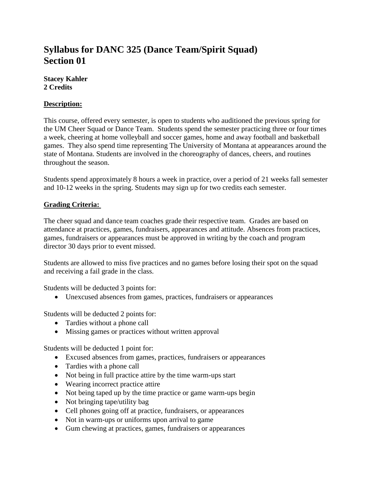# **Syllabus for DANC 325 (Dance Team/Spirit Squad) Section 01**

**Stacey Kahler 2 Credits**

## **Description:**

This course, offered every semester, is open to students who auditioned the previous spring for the UM Cheer Squad or Dance Team. Students spend the semester practicing three or four times a week, cheering at home volleyball and soccer games, home and away football and basketball games. They also spend time representing The University of Montana at appearances around the state of Montana. Students are involved in the choreography of dances, cheers, and routines throughout the season.

Students spend approximately 8 hours a week in practice, over a period of 21 weeks fall semester and 10-12 weeks in the spring. Students may sign up for two credits each semester.

## **Grading Criteria:**

The cheer squad and dance team coaches grade their respective team. Grades are based on attendance at practices, games, fundraisers, appearances and attitude. Absences from practices, games, fundraisers or appearances must be approved in writing by the coach and program director 30 days prior to event missed.

Students are allowed to miss five practices and no games before losing their spot on the squad and receiving a fail grade in the class.

Students will be deducted 3 points for:

• Unexcused absences from games, practices, fundraisers or appearances

Students will be deducted 2 points for:

- Tardies without a phone call
- Missing games or practices without written approval

Students will be deducted 1 point for:

- Excused absences from games, practices, fundraisers or appearances
- Tardies with a phone call
- Not being in full practice attire by the time warm-ups start
- Wearing incorrect practice attire
- Not being taped up by the time practice or game warm-ups begin
- Not bringing tape/utility bag
- Cell phones going off at practice, fundraisers, or appearances
- Not in warm-ups or uniforms upon arrival to game
- Gum chewing at practices, games, fundraisers or appearances